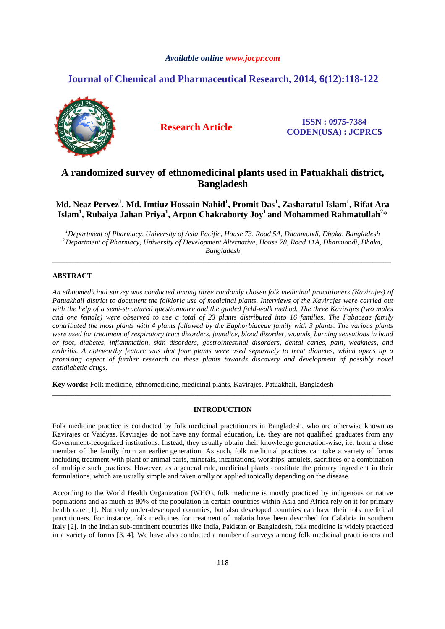### *Available online www.jocpr.com*

# **Journal of Chemical and Pharmaceutical Research, 2014, 6(12):118-122**



**Research Article ISSN : 0975-7384 CODEN(USA) : JCPRC5**

# **A randomized survey of ethnomedicinal plants used in Patuakhali district, Bangladesh**

M**d. Neaz Pervez<sup>1</sup> , Md. Imtiuz Hossain Nahid<sup>1</sup> , Promit Das<sup>1</sup> , Zasharatul Islam<sup>1</sup> , Rifat Ara Islam<sup>1</sup> , Rubaiya Jahan Priya<sup>1</sup> , Arpon Chakraborty Joy<sup>1</sup>and Mohammed Rahmatullah<sup>2</sup>** \*

*<sup>1</sup>Department of Pharmacy, University of Asia Pacific, House 73, Road 5A, Dhanmondi, Dhaka, Bangladesh <sup>2</sup>Department of Pharmacy, University of Development Alternative, House 78, Road 11A, Dhanmondi, Dhaka, Bangladesh* 

\_\_\_\_\_\_\_\_\_\_\_\_\_\_\_\_\_\_\_\_\_\_\_\_\_\_\_\_\_\_\_\_\_\_\_\_\_\_\_\_\_\_\_\_\_\_\_\_\_\_\_\_\_\_\_\_\_\_\_\_\_\_\_\_\_\_\_\_\_\_\_\_\_\_\_\_\_\_\_\_\_\_\_\_\_\_\_\_\_\_\_\_\_

## **ABSTRACT**

*An ethnomedicinal survey was conducted among three randomly chosen folk medicinal practitioners (Kavirajes) of Patuakhali district to document the folkloric use of medicinal plants. Interviews of the Kavirajes were carried out with the help of a semi-structured questionnaire and the guided field-walk method. The three Kavirajes (two males and one female) were observed to use a total of 23 plants distributed into 16 families. The Fabaceae family contributed the most plants with 4 plants followed by the Euphorbiaceae family with 3 plants. The various plants were used for treatment of respiratory tract disorders, jaundice, blood disorder, wounds, burning sensations in hand or foot, diabetes, inflammation, skin disorders, gastrointestinal disorders, dental caries, pain, weakness, and arthritis. A noteworthy feature was that four plants were used separately to treat diabetes, which opens up a promising aspect of further research on these plants towards discovery and development of possibly novel antidiabetic drugs.* 

**Key words:** Folk medicine, ethnomedicine, medicinal plants, Kavirajes, Patuakhali, Bangladesh

#### **INTRODUCTION**

\_\_\_\_\_\_\_\_\_\_\_\_\_\_\_\_\_\_\_\_\_\_\_\_\_\_\_\_\_\_\_\_\_\_\_\_\_\_\_\_\_\_\_\_\_\_\_\_\_\_\_\_\_\_\_\_\_\_\_\_\_\_\_\_\_\_\_\_\_\_\_\_\_\_\_\_\_\_\_\_\_\_\_\_\_\_\_\_\_\_\_\_\_

Folk medicine practice is conducted by folk medicinal practitioners in Bangladesh, who are otherwise known as Kavirajes or Vaidyas. Kavirajes do not have any formal education, i.e. they are not qualified graduates from any Government-recognized institutions. Instead, they usually obtain their knowledge generation-wise, i.e. from a close member of the family from an earlier generation. As such, folk medicinal practices can take a variety of forms including treatment with plant or animal parts, minerals, incantations, worships, amulets, sacrifices or a combination of multiple such practices. However, as a general rule, medicinal plants constitute the primary ingredient in their formulations, which are usually simple and taken orally or applied topically depending on the disease.

According to the World Health Organization (WHO), folk medicine is mostly practiced by indigenous or native populations and as much as 80% of the population in certain countries within Asia and Africa rely on it for primary health care [1]. Not only under-developed countries, but also developed countries can have their folk medicinal practitioners. For instance, folk medicines for treatment of malaria have been described for Calabria in southern Italy [2]. In the Indian sub-continent countries like India, Pakistan or Bangladesh, folk medicine is widely practiced in a variety of forms [3, 4]. We have also conducted a number of surveys among folk medicinal practitioners and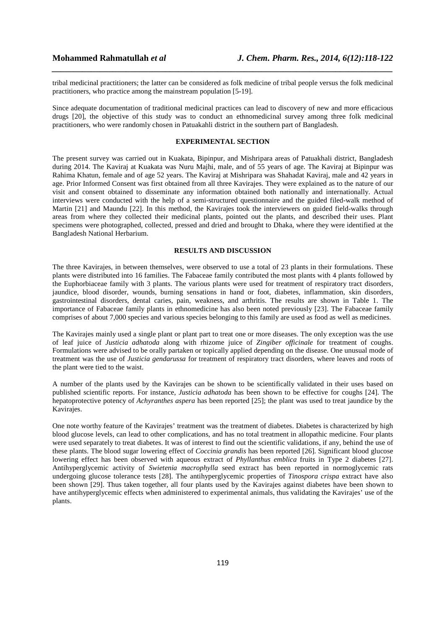tribal medicinal practitioners; the latter can be considered as folk medicine of tribal people versus the folk medicinal practitioners, who practice among the mainstream population [5-19].

*\_\_\_\_\_\_\_\_\_\_\_\_\_\_\_\_\_\_\_\_\_\_\_\_\_\_\_\_\_\_\_\_\_\_\_\_\_\_\_\_\_\_\_\_\_\_\_\_\_\_\_\_\_\_\_\_\_\_\_\_\_\_\_\_\_\_\_\_\_\_\_\_\_\_\_\_\_\_*

Since adequate documentation of traditional medicinal practices can lead to discovery of new and more efficacious drugs [20], the objective of this study was to conduct an ethnomedicinal survey among three folk medicinal practitioners, who were randomly chosen in Patuakahli district in the southern part of Bangladesh.

## **EXPERIMENTAL SECTION**

The present survey was carried out in Kuakata, Bipinpur, and Mishripara areas of Patuakhali district, Bangladesh during 2014. The Kaviraj at Kuakata was Nuru Majhi, male, and of 55 years of age. The Kaviraj at Bipinpur was Rahima Khatun, female and of age 52 years. The Kaviraj at Mishripara was Shahadat Kaviraj, male and 42 years in age. Prior Informed Consent was first obtained from all three Kavirajes. They were explained as to the nature of our visit and consent obtained to disseminate any information obtained both nationally and internationally. Actual interviews were conducted with the help of a semi-structured questionnaire and the guided filed-walk method of Martin [21] and Maundu [22]. In this method, the Kavirajes took the interviewers on guided field-walks through areas from where they collected their medicinal plants, pointed out the plants, and described their uses. Plant specimens were photographed, collected, pressed and dried and brought to Dhaka, where they were identified at the Bangladesh National Herbarium.

## **RESULTS AND DISCUSSION**

The three Kavirajes, in between themselves, were observed to use a total of 23 plants in their formulations. These plants were distributed into 16 families. The Fabaceae family contributed the most plants with 4 plants followed by the Euphorbiaceae family with 3 plants. The various plants were used for treatment of respiratory tract disorders, jaundice, blood disorder, wounds, burning sensations in hand or foot, diabetes, inflammation, skin disorders, gastrointestinal disorders, dental caries, pain, weakness, and arthritis. The results are shown in Table 1. The importance of Fabaceae family plants in ethnomedicine has also been noted previously [23]. The Fabaceae family comprises of about 7,000 species and various species belonging to this family are used as food as well as medicines.

The Kavirajes mainly used a single plant or plant part to treat one or more diseases. The only exception was the use of leaf juice of *Justicia adhatoda* along with rhizome juice of *Zingiber officinale* for treatment of coughs. Formulations were advised to be orally partaken or topically applied depending on the disease. One unusual mode of treatment was the use of *Justicia gendarussa* for treatment of respiratory tract disorders, where leaves and roots of the plant were tied to the waist.

A number of the plants used by the Kavirajes can be shown to be scientifically validated in their uses based on published scientific reports. For instance, *Justicia adhatoda* has been shown to be effective for coughs [24]. The hepatoprotective potency of *Achyranthes aspera* has been reported [25]; the plant was used to treat jaundice by the Kavirajes.

One note worthy feature of the Kavirajes' treatment was the treatment of diabetes. Diabetes is characterized by high blood glucose levels, can lead to other complications, and has no total treatment in allopathic medicine. Four plants were used separately to treat diabetes. It was of interest to find out the scientific validations, if any, behind the use of these plants. The blood sugar lowering effect of *Coccinia grandis* has been reported [26]. Significant blood glucose lowering effect has been observed with aqueous extract of *Phyllanthus emblica* fruits in Type 2 diabetes [27]. Antihyperglycemic activity of *Swietenia macrophylla* seed extract has been reported in normoglycemic rats undergoing glucose tolerance tests [28]. The antihyperglycemic properties of *Tinospora crispa* extract have also been shown [29]. Thus taken together, all four plants used by the Kavirajes against diabetes have been shown to have antihyperglycemic effects when administered to experimental animals, thus validating the Kavirajes' use of the plants.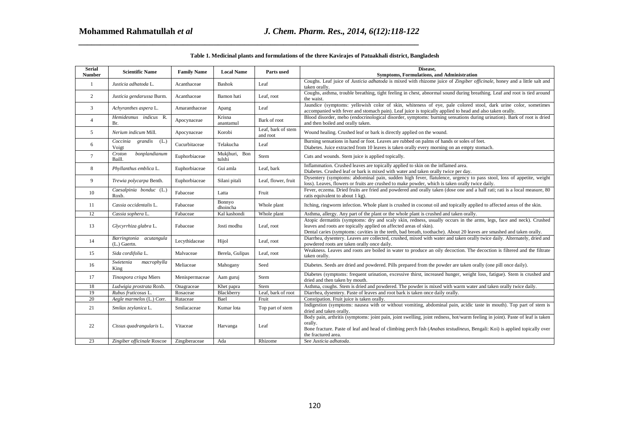| Table 1. Medicinal plants and formulations of the three Kavirajes of Patuakhali district, Bangladesh |                                         |                    |                         |                                |                                                                                                                                                                                                                                                                                                                    |
|------------------------------------------------------------------------------------------------------|-----------------------------------------|--------------------|-------------------------|--------------------------------|--------------------------------------------------------------------------------------------------------------------------------------------------------------------------------------------------------------------------------------------------------------------------------------------------------------------|
| <b>Serial</b><br><b>Number</b>                                                                       | <b>Scientific Name</b>                  | <b>Family Name</b> | <b>Local Name</b>       | Parts used                     | Disease.<br><b>Symptoms, Formulations, and Administration</b>                                                                                                                                                                                                                                                      |
| 1                                                                                                    | Justicia adhatoda L.                    | Acanthaceae        | <b>Bashok</b>           | Leaf                           | Coughs. Leaf juice of <i>Justicia adhatoda</i> is mixed with rhizome juice of <i>Zingiber officinale</i> , honey and a little salt and<br>taken orally.                                                                                                                                                            |
| 2                                                                                                    | Justicia gendarussa Burm.               | Acanthaceae        | Bamon hati              | Leaf, root                     | Coughs, asthma, trouble breathing, tight feeling in chest, abnormal sound during breathing. Leaf and root is tied around<br>the waist.                                                                                                                                                                             |
| 3                                                                                                    | Achyranthes aspera L.                   | Amaranthaceae      | Apang                   | Leaf                           | Jaundice (symptoms: yellowish color of skin, whiteness of eye, pale colored stool, dark urine color, sometimes<br>accompanied with fever and stomach pain). Leaf juice is topically applied to head and also taken orally.                                                                                         |
| $\overline{4}$                                                                                       | Hemidesmus indicus R.<br>Br.            | Apocynaceae        | Krisna<br>anantamul     | Bark of root                   | Blood disorder, meho (endocrinological disorder, symptoms: burning sensations during urination). Bark of root is dried<br>and then boiled and orally taken.                                                                                                                                                        |
| 5                                                                                                    | Nerium indicum Mill.                    | Apocynaceae        | Korobi                  | Leaf, bark of stem<br>and root | Wound healing. Crushed leaf or bark is directly applied on the wound.                                                                                                                                                                                                                                              |
| 6                                                                                                    | Coccinia<br>grandis<br>(L.)<br>Voigt    | Cucurbitaceae      | Telakucha               | Leaf                           | Burning sensations in hand or foot. Leaves are rubbed on palms of hands or soles of feet.<br>Diabetes. Juice extracted from 10 leaves is taken orally every morning on an empty stomach.                                                                                                                           |
| $\tau$                                                                                               | bonplandianum<br>Croton<br>Baill.       | Euphorbiaceae      | Mukjhuri, Bon<br>tulshi | Stem                           | Cuts and wounds. Stem juice is applied topically.                                                                                                                                                                                                                                                                  |
| 8                                                                                                    | Phyllanthus emblica L.                  | Euphorbiaceae      | Gui amla                | Leaf, bark                     | Inflammation. Crushed leaves are topically applied to skin on the inflamed area.<br>Diabetes. Crushed leaf or bark is mixed with water and taken orally twice per day.                                                                                                                                             |
| 9                                                                                                    | Trewia polycarpa Benth.                 | Euphorbiaceae      | Silani pitali           | Leaf, flower, fruit            | Dysentery (symptoms: abdominal pain, sudden high fever, flatulence, urgency to pass stool, loss of appetite, weight<br>loss). Leaves, flowers or fruits are crushed to make powder, which is taken orally twice daily.                                                                                             |
| 10                                                                                                   | Caesalpinia bonduc (L.)<br>Roxb.        | Fabaceae           | Latta                   | Fruit                          | Fever, eczema. Dried fruits are fried and powdered and orally taken (dose one and a half rati; rati is a local measure, 80<br>ratis equivalent to about 1 kg).                                                                                                                                                     |
| 11                                                                                                   | Cassia occidentalis L.                  | Fabaceae           | Bonnyo<br>dhoincha      | Whole plant                    | Itching, ringworm infection. Whole plant is crushed in coconut oil and topically applied to affected areas of the skin.                                                                                                                                                                                            |
| 12                                                                                                   | Cassia sophera L.                       | Fabaceae           | Kal kashondi            | Whole plant                    | Asthma, allergy. Any part of the plant or the whole plant is crushed and taken orally.                                                                                                                                                                                                                             |
| 13                                                                                                   | Glycyrrhiza glabra L.                   | Fabaceae           | Josti modhu             | Leaf, root                     | Atopic dermatitis (symptoms: dry and scaly skin, redness, usually occurs in the arms, legs, face and neck). Crushed<br>leaves and roots are topically applied on affected areas of skin).<br>Dental caries (symptoms: cavities in the teeth, bad breath, toothache). About 20 leaves are smashed and taken orally. |
| 14                                                                                                   | Barringtonia acutangula<br>(L.) Gaertn. | Lecythidaceae      | Hijol                   | Leaf, root                     | Diarrhea, dysentery. Leaves are collected, crushed, mixed with water and taken orally twice daily. Alternately, dried and<br>powdered roots are taken orally once daily.                                                                                                                                           |
| 15                                                                                                   | Sida cordifolia L.                      | Malvaceae          | Berela, Gulipas         | Leaf, root                     | Weakness. Leaves and roots are boiled in water to produce an oily decoction. The decoction is filtered and the filtrate<br>taken orally.                                                                                                                                                                           |
| 16                                                                                                   | Swietenia<br>macrophylla<br>King        | Meliaceae          | Mahogany                | Seed                           | Diabetes. Seeds are dried and powdered. Pills prepared from the powder are taken orally (one pill once daily).                                                                                                                                                                                                     |
| 17                                                                                                   | Tinospora crispa Miers                  | Menispermaceae     | Aam guruj               | Stem                           | Diabetes (symptoms: frequent urination, excessive thirst, increased hunger, weight loss, fatigue). Stem is crushed and<br>dried and then taken by mouth.                                                                                                                                                           |
| 18                                                                                                   | Ludwigia prostrata Roxb.                | Onagraceae         | Khet papra              | Stem                           | Asthma, coughs. Stem is dried and powdered. The powder is mixed with warm water and taken orally twice daily.                                                                                                                                                                                                      |
| 19                                                                                                   | Rubus fruticosus L.                     | Rosaceae           | Blackberry              | Leaf, bark of root             | Diarrhea, dysentery. Paste of leaves and root bark is taken once daily orally.                                                                                                                                                                                                                                     |
| 20                                                                                                   | Aegle marmelos (L.) Corr.               | Rutaceae           | Bael                    | Fruit                          | Constipation. Fruit juice is taken orally.                                                                                                                                                                                                                                                                         |
| 21                                                                                                   | Smilax zeylanica L.                     | Smilacaceae        | Kumar lota              | Top part of stem               | Indigestion (symptoms: nausea with or without vomiting, abdominal pain, acidic taste in mouth). Top part of stem is<br>dried and taken orally.                                                                                                                                                                     |
| 22                                                                                                   | Cissus quadrangularis L.                | Vitaceae           | Harvanga                | Leaf                           | Body pain, arthritis (symptoms: joint pain, joint swelling, joint redness, hot/warm feeling in joint). Paste of leaf is taken<br>orally.<br>Bone fracture. Paste of leaf and head of climbing perch fish (Anabas testudineus, Bengali: Koi) is applied topically over<br>the fractured area.                       |
| 23                                                                                                   | Zingiber officinale Roscoe              | Zingiberaceae      | Ada                     | Rhizome                        | See Justicia adhatoda.                                                                                                                                                                                                                                                                                             |
|                                                                                                      |                                         |                    |                         |                                |                                                                                                                                                                                                                                                                                                                    |
|                                                                                                      |                                         |                    |                         |                                | 120                                                                                                                                                                                                                                                                                                                |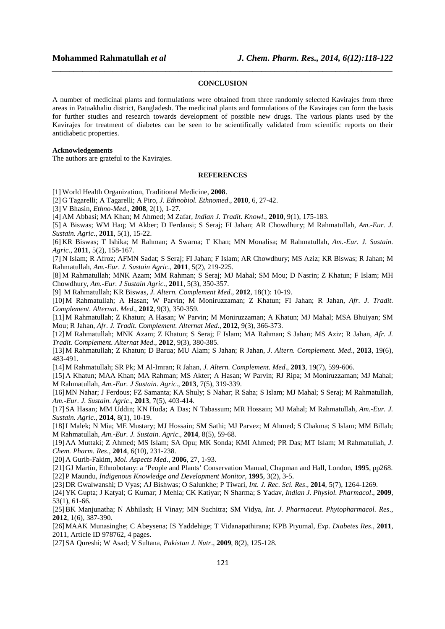#### **CONCLUSION**

*\_\_\_\_\_\_\_\_\_\_\_\_\_\_\_\_\_\_\_\_\_\_\_\_\_\_\_\_\_\_\_\_\_\_\_\_\_\_\_\_\_\_\_\_\_\_\_\_\_\_\_\_\_\_\_\_\_\_\_\_\_\_\_\_\_\_\_\_\_\_\_\_\_\_\_\_\_\_*

A number of medicinal plants and formulations were obtained from three randomly selected Kavirajes from three areas in Patuakhaliu district, Bangladesh. The medicinal plants and formulations of the Kavirajes can form the basis for further studies and research towards development of possible new drugs. The various plants used by the Kavirajes for treatment of diabetes can be seen to be scientifically validated from scientific reports on their antidiabetic properties.

#### **Acknowledgements**

The authors are grateful to the Kavirajes.

#### **REFERENCES**

[1] World Health Organization, Traditional Medicine, **2008**.

[2] G Tagarelli; A Tagarelli; A Piro, *J. Ethnobiol. Ethnomed*., **2010**, 6, 27-42.

[3] V Bhasin, *Ethno-Med*., **2008**, 2(1), 1-27.

[4] AM Abbasi; MA Khan; M Ahmed; M Zafar, *Indian J. Tradit. Knowl*., **2010**, 9(1), 175-183.

[5] A Biswas; WM Haq; M Akber; D Ferdausi; S Seraj; FI Jahan; AR Chowdhury; M Rahmatullah, *Am.-Eur. J. Sustain. Agric*., **2011**, 5(1), 15-22.

[6] KR Biswas; T Ishika; M Rahman; A Swarna; T Khan; MN Monalisa; M Rahmatullah, *Am.-Eur. J. Sustain. Agric*., **2011**, 5(2), 158-167.

[7] N Islam; R Afroz; AFMN Sadat; S Seraj; FI Jahan; F Islam; AR Chowdhury; MS Aziz; KR Biswas; R Jahan; M Rahmatullah, *Am.-Eur. J. Sustain Agric*., **2011**, 5(2), 219-225.

[8] M Rahmatullah; MNK Azam; MM Rahman; S Seraj; MJ Mahal; SM Mou; D Nasrin; Z Khatun; F Islam; MH Chowdhury, *Am.-Eur. J Sustain Agric*., **2011**, 5(3), 350-357.

[9] M Rahmatullah; KR Biswas, *J. Altern. Complement Med*., **2012**, 18(1): 10-19.

[10]M Rahmatullah; A Hasan; W Parvin; M Moniruzzaman; Z Khatun; FI Jahan; R Jahan, *Afr. J. Tradit. Complement. Alternat. Med*., **2012**, 9(3), 350-359.

[11]M Rahmatullah; Z Khatun; A Hasan; W Parvin; M Moniruzzaman; A Khatun; MJ Mahal; MSA Bhuiyan; SM Mou; R Jahan, *Afr. J. Tradit. Complement. Alternat Med*., **2012**, 9(3), 366-373.

[12]M Rahmatullah; MNK Azam; Z Khatun; S Seraj; F Islam; MA Rahman; S Jahan; MS Aziz; R Jahan, *Afr. J. Tradit. Complement. Alternat Med*., **2012**, 9(3), 380-385.

[13]M Rahmatullah; Z Khatun; D Barua; MU Alam; S Jahan; R Jahan, *J. Altern. Complement. Med*., **2013**, 19(6), 483-491.

[14]M Rahmatullah; SR Pk; M Al-Imran; R Jahan, *J. Altern. Complement. Med*., **2013**, 19(7), 599-606.

[15]A Khatun; MAA Khan; MA Rahman; MS Akter; A Hasan; W Parvin; RJ Ripa; M Moniruzzaman; MJ Mahal; M Rahmatullah, *Am.-Eur. J Sustain. Agric*., **2013**, 7(5), 319-339.

[16]MN Nahar; J Ferdous; FZ Samanta; KA Shuly; S Nahar; R Saha; S Islam; MJ Mahal; S Seraj; M Rahmatullah, *Am.-Eur. J. Sustain. Agric*., **2013**, 7(5), 403-414.

[17]SA Hasan; MM Uddin; KN Huda; A Das; N Tabassum; MR Hossain; MJ Mahal; M Rahmatullah, *Am.-Eur. J. Sustain. Agric*., **2014**, 8(1), 10-19.

[18]I Malek; N Mia; ME Mustary; MJ Hossain; SM Sathi; MJ Parvez; M Ahmed; S Chakma; S Islam; MM Billah; M Rahmatullah, *Am.-Eur. J. Sustain. Agric*., **2014**, 8(5), 59-68.

[19]AA Muttaki; Z Ahmed; MS Islam; SA Opu; MK Sonda; KMI Ahmed; PR Das; MT Islam; M Rahmatullah, *J. Chem. Pharm. Res*., **2014**, 6(10), 231-238.

[20]A Gurib-Fakim, *Mol. Aspects Med*., **2006**, 27, 1-93.

[21]GJ Martin, Ethnobotany: a 'People and Plants' Conservation Manual, Chapman and Hall, London, **1995**, pp268. [22]P Maundu, *Indigenous Knowledge and Development Monitor*, **1995**, 3(2), 3-5.

[23]DR Gwalwanshi; D Vyas; AJ Bishwas; O Salunkhe; P Tiwari, *Int. J. Rec. Sci. Res*., **2014**, 5(7), 1264-1269.

[24]YK Gupta; J Katyal; G Kumar; J Mehla; CK Katiyar; N Sharma; S Yadav, *Indian J. Physiol. Pharmacol*., **2009**, 53(1), 61-66.

[25]BK Manjunatha; N Abhilash; H Vinay; MN Suchitra; SM Vidya, *Int. J. Pharmaceut. Phytopharmacol. Res*., **2012**, 1(6), 387-390.

[26]MAAK Munasinghe; C Abeysena; IS Yaddehige; T Vidanapathirana; KPB Piyumal, *Exp. Diabetes Res*., **2011**, 2011, Article ID 978762, 4 pages.

[27]SA Qureshi; W Asad; V Sultana, *Pakistan J. Nutr*., **2009**, 8(2), 125-128.